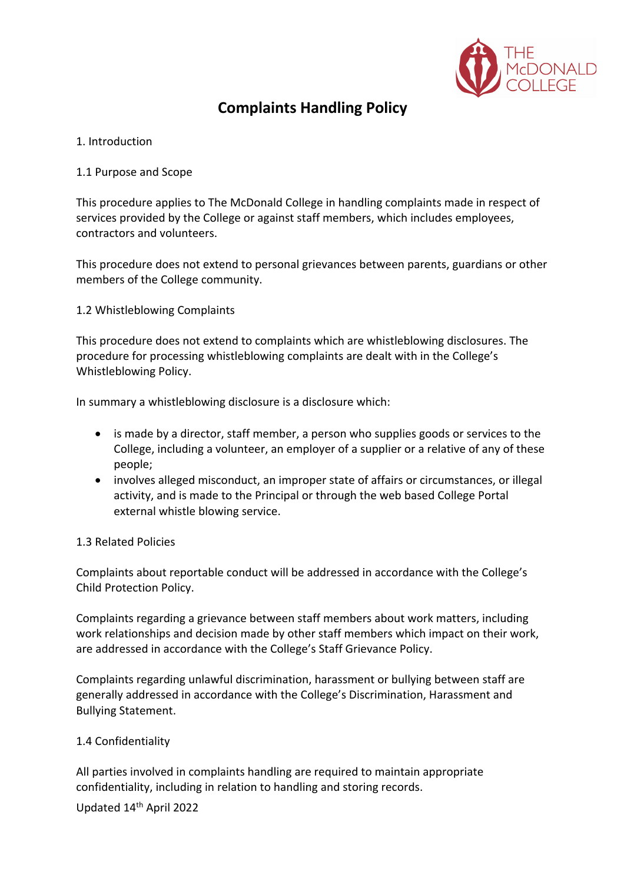

# **Complaints Handling Policy**

## 1. Introduction

## 1.1 Purpose and Scope

This procedure applies to The McDonald College in handling complaints made in respect of services provided by the College or against staff members, which includes employees, contractors and volunteers.

This procedure does not extend to personal grievances between parents, guardians or other members of the College community.

1.2 Whistleblowing Complaints

This procedure does not extend to complaints which are whistleblowing disclosures. The procedure for processing whistleblowing complaints are dealt with in the College's Whistleblowing Policy.

In summary a whistleblowing disclosure is a disclosure which:

- is made by a director, staff member, a person who supplies goods or services to the College, including a volunteer, an employer of a supplier or a relative of any of these people;
- involves alleged misconduct, an improper state of affairs or circumstances, or illegal activity, and is made to the Principal or through the web based College Portal external whistle blowing service.

#### 1.3 Related Policies

Complaints about reportable conduct will be addressed in accordance with the College's Child Protection Policy.

Complaints regarding a grievance between staff members about work matters, including work relationships and decision made by other staff members which impact on their work, are addressed in accordance with the College's Staff Grievance Policy.

Complaints regarding unlawful discrimination, harassment or bullying between staff are generally addressed in accordance with the College's Discrimination, Harassment and Bullying Statement.

# 1.4 Confidentiality

All parties involved in complaints handling are required to maintain appropriate confidentiality, including in relation to handling and storing records.

Updated 14th April 2022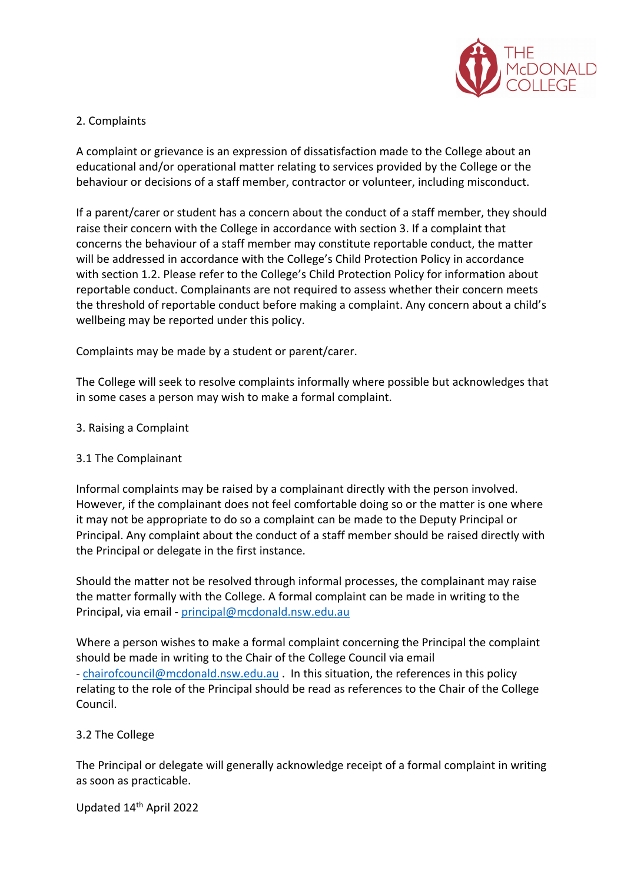

## 2. Complaints

A complaint or grievance is an expression of dissatisfaction made to the College about an educational and/or operational matter relating to services provided by the College or the behaviour or decisions of a staff member, contractor or volunteer, including misconduct.

If a parent/carer or student has a concern about the conduct of a staff member, they should raise their concern with the College in accordance with section 3. If a complaint that concerns the behaviour of a staff member may constitute reportable conduct, the matter will be addressed in accordance with the College's Child Protection Policy in accordance with section 1.2. Please refer to the College's Child Protection Policy for information about reportable conduct. Complainants are not required to assess whether their concern meets the threshold of reportable conduct before making a complaint. Any concern about a child's wellbeing may be reported under this policy.

Complaints may be made by a student or parent/carer.

The College will seek to resolve complaints informally where possible but acknowledges that in some cases a person may wish to make a formal complaint.

#### 3. Raising a Complaint

#### 3.1 The Complainant

Informal complaints may be raised by a complainant directly with the person involved. However, if the complainant does not feel comfortable doing so or the matter is one where it may not be appropriate to do so a complaint can be made to the Deputy Principal or Principal. Any complaint about the conduct of a staff member should be raised directly with the Principal or delegate in the first instance.

Should the matter not be resolved through informal processes, the complainant may raise the matter formally with the College. A formal complaint can be made in writing to the Principal, via email - principal@mcdonald.nsw.edu.au

Where a person wishes to make a formal complaint concerning the Principal the complaint should be made in writing to the Chair of the College Council via email - chairofcouncil@mcdonald.nsw.edu.au . In this situation, the references in this policy relating to the role of the Principal should be read as references to the Chair of the College Council.

#### 3.2 The College

The Principal or delegate will generally acknowledge receipt of a formal complaint in writing as soon as practicable.

Updated 14th April 2022